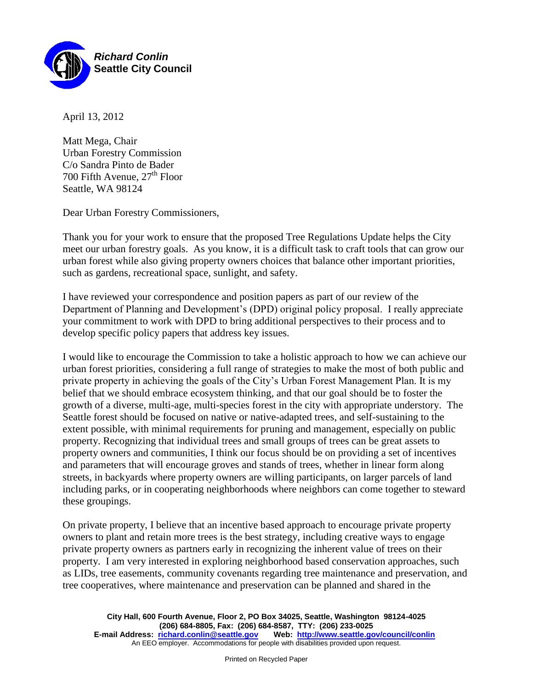

April 13, 2012

Matt Mega, Chair Urban Forestry Commission C/o Sandra Pinto de Bader 700 Fifth Avenue,  $27<sup>th</sup>$  Floor Seattle, WA 98124

Dear Urban Forestry Commissioners,

Thank you for your work to ensure that the proposed Tree Regulations Update helps the City meet our urban forestry goals. As you know, it is a difficult task to craft tools that can grow our urban forest while also giving property owners choices that balance other important priorities, such as gardens, recreational space, sunlight, and safety.

I have reviewed your correspondence and position papers as part of our review of the Department of Planning and Development's (DPD) original policy proposal. I really appreciate your commitment to work with DPD to bring additional perspectives to their process and to develop specific policy papers that address key issues.

I would like to encourage the Commission to take a holistic approach to how we can achieve our urban forest priorities, considering a full range of strategies to make the most of both public and private property in achieving the goals of the City's Urban Forest Management Plan. It is my belief that we should embrace ecosystem thinking, and that our goal should be to foster the growth of a diverse, multi-age, multi-species forest in the city with appropriate understory. The Seattle forest should be focused on native or native-adapted trees, and self-sustaining to the extent possible, with minimal requirements for pruning and management, especially on public property. Recognizing that individual trees and small groups of trees can be great assets to property owners and communities, I think our focus should be on providing a set of incentives and parameters that will encourage groves and stands of trees, whether in linear form along streets, in backyards where property owners are willing participants, on larger parcels of land including parks, or in cooperating neighborhoods where neighbors can come together to steward these groupings.

On private property, I believe that an incentive based approach to encourage private property owners to plant and retain more trees is the best strategy, including creative ways to engage private property owners as partners early in recognizing the inherent value of trees on their property. I am very interested in exploring neighborhood based conservation approaches, such as LIDs, tree easements, community covenants regarding tree maintenance and preservation, and tree cooperatives, where maintenance and preservation can be planned and shared in the

**City Hall, 600 Fourth Avenue, Floor 2, PO Box 34025, Seattle, Washington 98124-4025 (206) 684-8805, Fax: (206) 684-8587, TTY: (206) 233-0025 E-mail Address: richard.conlin@seattle.gov** An EEO employer. Accommodations for people with disabilities provided upon request.